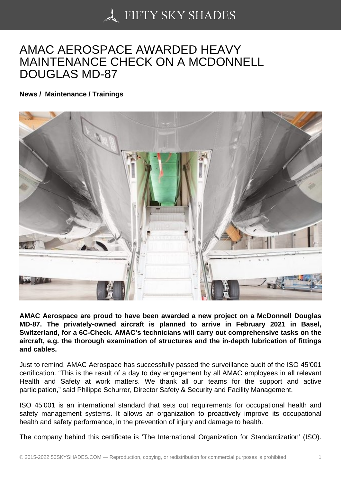## [AMAC AEROSPACE A](https://50skyshades.com)WARDED HEAVY MAINTENANCE CHECK ON A MCDONNELL DOUGLAS MD-87

News / Maintenance / Trainings

AMAC Aerospace are proud to have been awarded a new project on a McDonnell Douglas MD-87. The privately-owned aircraft is planned to arrive in February 2021 in Basel, Switzerland, for a 6C-Check. AMAC's technicians will carry out comprehensive tasks on the aircraft, e.g. the thorough examination of structures and the in-depth lubrication of fittings and cables.

Just to remind, AMAC Aerospace has successfully passed the surveillance audit of the ISO 45'001 certification. "This is the result of a day to day engagement by all AMAC employees in all relevant Health and Safety at work matters. We thank all our teams for the support and active participation," said Philippe Schurrer, Director Safety & Security and Facility Management.

ISO 45'001 is an international standard that sets out requirements for occupational health and safety management systems. It allows an organization to proactively improve its occupational health and safety performance, in the prevention of injury and damage to health.

The company behind this certificate is 'The International Organization for Standardization' (ISO).